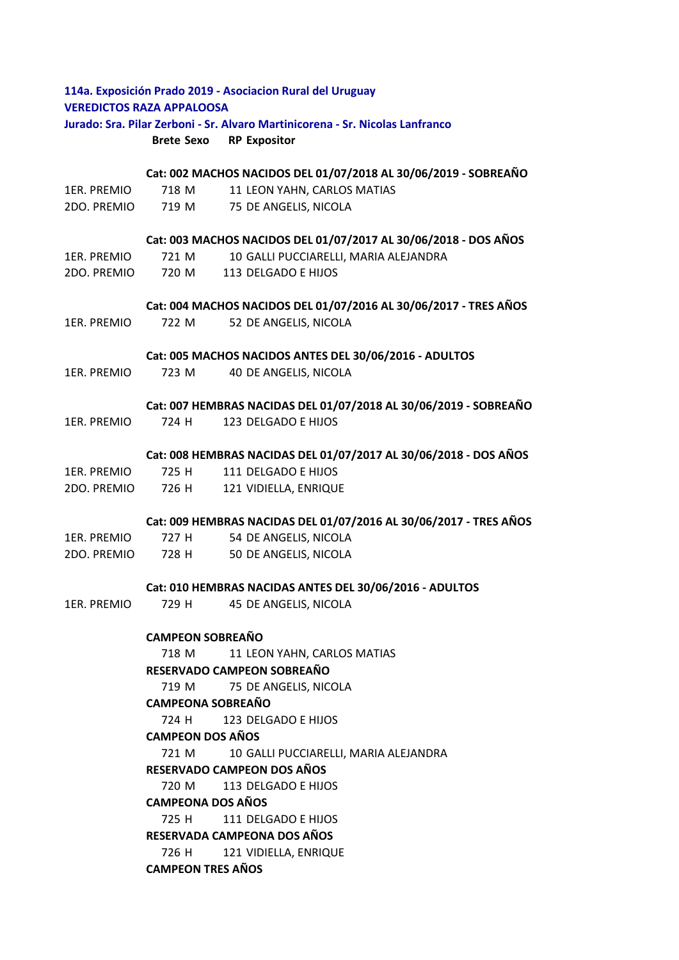| 114a. Exposición Prado 2019 - Asociacion Rural del Uruguay<br><b>VEREDICTOS RAZA APPALOOSA</b><br>Jurado: Sra. Pilar Zerboni - Sr. Alvaro Martinicorena - Sr. Nicolas Lanfranco |                                                                   |                                                                  |  |
|---------------------------------------------------------------------------------------------------------------------------------------------------------------------------------|-------------------------------------------------------------------|------------------------------------------------------------------|--|
|                                                                                                                                                                                 |                                                                   |                                                                  |  |
|                                                                                                                                                                                 |                                                                   |                                                                  |  |
|                                                                                                                                                                                 | Cat: 002 MACHOS NACIDOS DEL 01/07/2018 AL 30/06/2019 - SOBREAÑO   |                                                                  |  |
| 1ER. PREMIO                                                                                                                                                                     | 718 M                                                             | 11 LEON YAHN, CARLOS MATIAS                                      |  |
| 2DO. PREMIO                                                                                                                                                                     | 719 M                                                             | 75 DE ANGELIS, NICOLA                                            |  |
|                                                                                                                                                                                 | Cat: 003 MACHOS NACIDOS DEL 01/07/2017 AL 30/06/2018 - DOS AÑOS   |                                                                  |  |
| 1ER. PREMIO                                                                                                                                                                     | 721 M                                                             | 10 GALLI PUCCIARELLI, MARIA ALEJANDRA                            |  |
| 2DO. PREMIO                                                                                                                                                                     | 720 M                                                             | 113 DELGADO E HIJOS                                              |  |
|                                                                                                                                                                                 | Cat: 004 MACHOS NACIDOS DEL 01/07/2016 AL 30/06/2017 - TRES AÑOS  |                                                                  |  |
| 1ER. PREMIO                                                                                                                                                                     | 722 M                                                             | 52 DE ANGELIS, NICOLA                                            |  |
|                                                                                                                                                                                 | Cat: 005 MACHOS NACIDOS ANTES DEL 30/06/2016 - ADULTOS            |                                                                  |  |
| 1ER. PREMIO                                                                                                                                                                     | 723 M                                                             | 40 DE ANGELIS, NICOLA                                            |  |
|                                                                                                                                                                                 |                                                                   |                                                                  |  |
|                                                                                                                                                                                 |                                                                   | Cat: 007 HEMBRAS NACIDAS DEL 01/07/2018 AL 30/06/2019 - SOBREAÑO |  |
| 1ER. PREMIO                                                                                                                                                                     | 724 H                                                             | 123 DELGADO E HIJOS                                              |  |
|                                                                                                                                                                                 | Cat: 008 HEMBRAS NACIDAS DEL 01/07/2017 AL 30/06/2018 - DOS AÑOS  |                                                                  |  |
| 1ER. PREMIO                                                                                                                                                                     | 725 H                                                             | 111 DELGADO E HIJOS                                              |  |
| 2DO. PREMIO                                                                                                                                                                     |                                                                   | 726 H 121 VIDIELLA, ENRIQUE                                      |  |
|                                                                                                                                                                                 | Cat: 009 HEMBRAS NACIDAS DEL 01/07/2016 AL 30/06/2017 - TRES AÑOS |                                                                  |  |
| 1ER. PREMIO                                                                                                                                                                     | 727 H                                                             | 54 DE ANGELIS, NICOLA                                            |  |
| 2DO. PREMIO                                                                                                                                                                     | 728 H                                                             | 50 DE ANGELIS, NICOLA                                            |  |
|                                                                                                                                                                                 | Cat: 010 HEMBRAS NACIDAS ANTES DEL 30/06/2016 - ADULTOS           |                                                                  |  |
| 1ER. PREMIO                                                                                                                                                                     | 729 H                                                             | 45 DE ANGELIS, NICOLA                                            |  |
|                                                                                                                                                                                 | <b>CAMPEON SOBREAÑO</b>                                           |                                                                  |  |
|                                                                                                                                                                                 | 718 M                                                             | 11 LEON YAHN, CARLOS MATIAS                                      |  |
|                                                                                                                                                                                 |                                                                   | RESERVADO CAMPEON SOBREAÑO                                       |  |
|                                                                                                                                                                                 | 719 M                                                             | 75 DE ANGELIS, NICOLA                                            |  |
|                                                                                                                                                                                 | <b>CAMPEONA SOBREAÑO</b>                                          |                                                                  |  |
|                                                                                                                                                                                 | 724 H                                                             | 123 DELGADO E HIJOS                                              |  |
|                                                                                                                                                                                 | <b>CAMPEON DOS AÑOS</b>                                           |                                                                  |  |
|                                                                                                                                                                                 | 721 M                                                             | 10 GALLI PUCCIARELLI, MARIA ALEJANDRA                            |  |
|                                                                                                                                                                                 | <b>RESERVADO CAMPEON DOS AÑOS</b>                                 |                                                                  |  |
|                                                                                                                                                                                 | 720 M<br>113 DELGADO E HIJOS                                      |                                                                  |  |
|                                                                                                                                                                                 | <b>CAMPEONA DOS AÑOS</b>                                          |                                                                  |  |
|                                                                                                                                                                                 | 725 H                                                             | 111 DELGADO E HIJOS                                              |  |
|                                                                                                                                                                                 | RESERVADA CAMPEONA DOS AÑOS                                       |                                                                  |  |
|                                                                                                                                                                                 | 726 H                                                             | 121 VIDIELLA, ENRIQUE                                            |  |
|                                                                                                                                                                                 | <b>CAMPEON TRES AÑOS</b>                                          |                                                                  |  |
|                                                                                                                                                                                 |                                                                   |                                                                  |  |